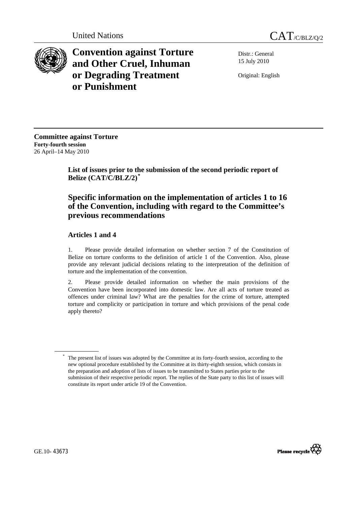



**Convention against Torture and Other Cruel, Inhuman or Degrading Treatment or Punishment**

Distr.: General 15 July 2010

Original: English

**Committee against Torture Forty-fourth session**  26 April–14 May 2010

> **List of issues prior to the submission of the second periodic report of Belize (CAT/C/BLZ/2)***[\\*](#page-0-0)*

# **Specific information on the implementation of articles 1 to 16 of the Convention, including with regard to the Committee's previous recommendations**

## **Articles 1 and 4**

1. Please provide detailed information on whether section 7 of the Constitution of Belize on torture conforms to the definition of article 1 of the Convention. Also, please provide any relevant judicial decisions relating to the interpretation of the definition of torture and the implementation of the convention.

2. Please provide detailed information on whether the main provisions of the Convention have been incorporated into domestic law. Are all acts of torture treated as offences under criminal law? What are the penalties for the crime of torture, attempted torture and complicity or participation in torture and which provisions of the penal code apply thereto?



<span id="page-0-0"></span><sup>\*</sup> The present list of issues was adopted by the Committee at its forty-fourth session, according to the new optional procedure established by the Committee at its thirty-eighth session, which consists in the preparation and adoption of lists of issues to be transmitted to States parties prior to the submission of their respective periodic report. The replies of the State party to this list of issues will constitute its report under article 19 of the Convention.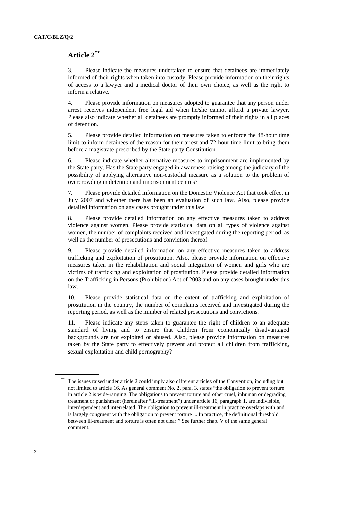# **Article 2[\\*\\*](#page-1-0)**

3. Please indicate the measures undertaken to ensure that detainees are immediately informed of their rights when taken into custody. Please provide information on their rights of access to a lawyer and a medical doctor of their own choice, as well as the right to inform a relative.

4. Please provide information on measures adopted to guarantee that any person under arrest receives independent free legal aid when he/she cannot afford a private lawyer. Please also indicate whether all detainees are promptly informed of their rights in all places of detention.

5. Please provide detailed information on measures taken to enforce the 48-hour time limit to inform detainees of the reason for their arrest and 72-hour time limit to bring them before a magistrate prescribed by the State party Constitution.

6. Please indicate whether alternative measures to imprisonment are implemented by the State party. Has the State party engaged in awareness-raising among the judiciary of the possibility of applying alternative non-custodial measure as a solution to the problem of overcrowding in detention and imprisonment centres?

7. Please provide detailed information on the Domestic Violence Act that took effect in July 2007 and whether there has been an evaluation of such law. Also, please provide detailed information on any cases brought under this law.

8. Please provide detailed information on any effective measures taken to address violence against women. Please provide statistical data on all types of violence against women, the number of complaints received and investigated during the reporting period, as well as the number of prosecutions and conviction thereof.

9. Please provide detailed information on any effective measures taken to address trafficking and exploitation of prostitution. Also, please provide information on effective measures taken in the rehabilitation and social integration of women and girls who are victims of trafficking and exploitation of prostitution. Please provide detailed information on the Trafficking in Persons (Prohibition) Act of 2003 and on any cases brought under this law.

10. Please provide statistical data on the extent of trafficking and exploitation of prostitution in the country, the number of complaints received and investigated during the reporting period, as well as the number of related prosecutions and convictions.

11. Please indicate any steps taken to guarantee the right of children to an adequate standard of living and to ensure that children from economically disadvantaged backgrounds are not exploited or abused. Also, please provide information on measures taken by the State party to effectively prevent and protect all children from trafficking, sexual exploitation and child pornography?

<span id="page-1-0"></span>The issues raised under article 2 could imply also different articles of the Convention, including but not limited to article 16. As general comment No. 2, para. 3, states "the obligation to prevent torture in article 2 is wide-ranging. The obligations to prevent torture and other cruel, inhuman or degrading treatment or punishment (hereinafter "ill-treatment") under article 16, paragraph 1, are indivisible, interdependent and interrelated. The obligation to prevent ill-treatment in practice overlaps with and is largely congruent with the obligation to prevent torture ... In practice, the definitional threshold between ill-treatment and torture is often not clear." See further chap. V of the same general comment.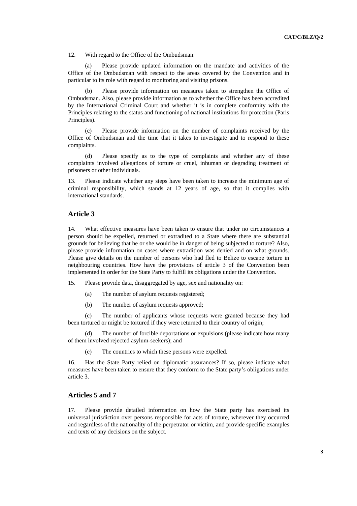12. With regard to the Office of the Ombudsman:

Please provide updated information on the mandate and activities of the Office of the Ombudsman with respect to the areas covered by the Convention and in particular to its role with regard to monitoring and visiting prisons.

Please provide information on measures taken to strengthen the Office of Ombudsman. Also, please provide information as to whether the Office has been accredited by the International Criminal Court and whether it is in complete conformity with the Principles relating to the status and functioning of national institutions for protection (Paris Principles).

 (c) Please provide information on the number of complaints received by the Office of Ombudsman and the time that it takes to investigate and to respond to these complaints.

 (d) Please specify as to the type of complaints and whether any of these complaints involved allegations of torture or cruel, inhuman or degrading treatment of prisoners or other individuals.

13. Please indicate whether any steps have been taken to increase the minimum age of criminal responsibility, which stands at 12 years of age, so that it complies with international standards.

## **Article 3**

14. What effective measures have been taken to ensure that under no circumstances a person should be expelled, returned or extradited to a State where there are substantial grounds for believing that he or she would be in danger of being subjected to torture? Also, please provide information on cases where extradition was denied and on what grounds. Please give details on the number of persons who had fled to Belize to escape torture in neighbouring countries. How have the provisions of article 3 of the Convention been implemented in order for the State Party to fulfill its obligations under the Convention.

15. Please provide data, disaggregated by age, sex and nationality on:

- (a) The number of asylum requests registered;
- (b) The number of asylum requests approved;

(c) The number of applicants whose requests were granted because they had been tortured or might be tortured if they were returned to their country of origin;

The number of forcible deportations or expulsions (please indicate how many of them involved rejected asylum-seekers); and

(e) The countries to which these persons were expelled.

16. Has the State Party relied on diplomatic assurances? If so, please indicate what measures have been taken to ensure that they conform to the State party's obligations under article 3.

#### **Articles 5 and 7**

17. Please provide detailed information on how the State party has exercised its universal jurisdiction over persons responsible for acts of torture, wherever they occurred and regardless of the nationality of the perpetrator or victim, and provide specific examples and texts of any decisions on the subject.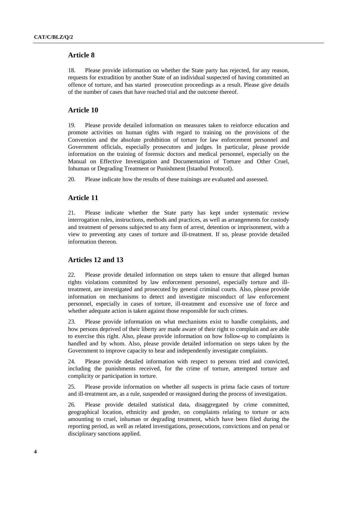## **Article 8**

18. Please provide information on whether the State party has rejected, for any reason, requests for extradition by another State of an individual suspected of having committed an offence of torture, and has started prosecution proceedings as a result. Please give details of the number of cases that have reached trial and the outcome thereof.

## **Article 10**

19. Please provide detailed information on measures taken to reinforce education and promote activities on human rights with regard to training on the provisions of the Convention and the absolute prohibition of torture for law enforcement personnel and Government officials, especially prosecutors and judges. In particular, please provide information on the training of forensic doctors and medical personnel, especially on the Manual on Effective Investigation and Documentation of Torture and Other Cruel, Inhuman or Degrading Treatment or Punishment (Istanbul Protocol).

20. Please indicate how the results of these trainings are evaluated and assessed.

#### **Article 11**

21. Please indicate whether the State party has kept under systematic review interrogation rules, instructions, methods and practices, as well as arrangements for custody and treatment of persons subjected to any form of arrest, detention or imprisonment, with a view to preventing any cases of torture and ill-treatment. If so, please provide detailed information thereon.

#### **Articles 12 and 13**

22. Please provide detailed information on steps taken to ensure that alleged human rights violations committed by law enforcement personnel, especially torture and illtreatment, are investigated and prosecuted by general criminal courts. Also, please provide information on mechanisms to detect and investigate misconduct of law enforcement personnel, especially in cases of torture, ill-treatment and excessive use of force and whether adequate action is taken against those responsible for such crimes.

23. Please provide information on what mechanisms exist to handle complaints, and how persons deprived of their liberty are made aware of their right to complain and are able to exercise this right. Also, please provide information on how follow-up to complaints is handled and by whom. Also, please provide detailed information on steps taken by the Government to improve capacity to hear and independently investigate complaints.

24. Please provide detailed information with respect to persons tried and convicted, including the punishments received, for the crime of torture, attempted torture and complicity or participation in torture.

25. Please provide information on whether all suspects in prima facie cases of torture and ill-treatment are, as a rule, suspended or reassigned during the process of investigation.

26. Please provide detailed statistical data, disaggregated by crime committed, geographical location, ethnicity and gender, on complaints relating to torture or acts amounting to cruel, inhuman or degrading treatment, which have been filed during the reporting period, as well as related investigations, prosecutions, convictions and on penal or disciplinary sanctions applied.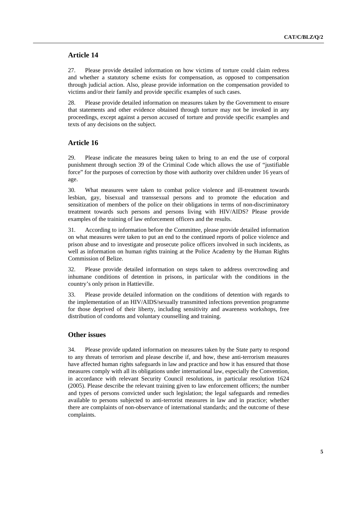#### **Article 14**

27. Please provide detailed information on how victims of torture could claim redress and whether a statutory scheme exists for compensation, as opposed to compensation through judicial action. Also, please provide information on the compensation provided to victims and/or their family and provide specific examples of such cases.

28. Please provide detailed information on measures taken by the Government to ensure that statements and other evidence obtained through torture may not be invoked in any proceedings, except against a person accused of torture and provide specific examples and texts of any decisions on the subject.

## **Article 16**

29. Please indicate the measures being taken to bring to an end the use of corporal punishment through section 39 of the Criminal Code which allows the use of "justifiable force" for the purposes of correction by those with authority over children under 16 years of age.

30. What measures were taken to combat police violence and ill-treatment towards lesbian, gay, bisexual and transsexual persons and to promote the education and sensitization of members of the police on their obligations in terms of non-discriminatory treatment towards such persons and persons living with HIV/AIDS? Please provide examples of the training of law enforcement officers and the results.

31. According to information before the Committee, please provide detailed information on what measures were taken to put an end to the continued reports of police violence and prison abuse and to investigate and prosecute police officers involved in such incidents, as well as information on human rights training at the Police Academy by the Human Rights Commission of Belize.

32. Please provide detailed information on steps taken to address overcrowding and inhumane conditions of detention in prisons, in particular with the conditions in the country's only prison in Hattieville.

33. Please provide detailed information on the conditions of detention with regards to the implementation of an HIV/AIDS/sexually transmitted infections prevention programme for those deprived of their liberty, including sensitivity and awareness workshops, free distribution of condoms and voluntary counselling and training.

### **Other issues**

34. Please provide updated information on measures taken by the State party to respond to any threats of terrorism and please describe if, and how, these anti-terrorism measures have affected human rights safeguards in law and practice and how it has ensured that those measures comply with all its obligations under international law, especially the Convention, in accordance with relevant Security Council resolutions, in particular resolution 1624 (2005). Please describe the relevant training given to law enforcement officers; the number and types of persons convicted under such legislation; the legal safeguards and remedies available to persons subjected to anti-terrorist measures in law and in practice; whether there are complaints of non-observance of international standards; and the outcome of these complaints.